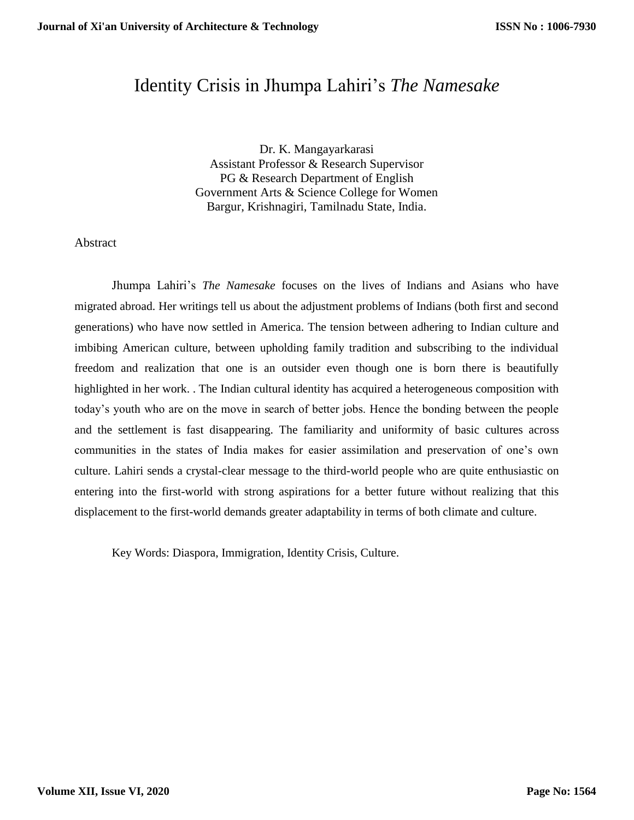## Identity Crisis in Jhumpa Lahiri's *The Namesake*

Dr. K. Mangayarkarasi Assistant Professor & Research Supervisor PG & Research Department of English Government Arts & Science College for Women Bargur, Krishnagiri, Tamilnadu State, India.

## Abstract

Jhumpa Lahiri's *The Namesake* focuses on the lives of Indians and Asians who have migrated abroad. Her writings tell us about the adjustment problems of Indians (both first and second generations) who have now settled in America. The tension between adhering to Indian culture and imbibing American culture, between upholding family tradition and subscribing to the individual freedom and realization that one is an outsider even though one is born there is beautifully highlighted in her work. . The Indian cultural identity has acquired a heterogeneous composition with today's youth who are on the move in search of better jobs. Hence the bonding between the people and the settlement is fast disappearing. The familiarity and uniformity of basic cultures across communities in the states of India makes for easier assimilation and preservation of one's own culture. Lahiri sends a crystal-clear message to the third-world people who are quite enthusiastic on entering into the first-world with strong aspirations for a better future without realizing that this displacement to the first-world demands greater adaptability in terms of both climate and culture.

Key Words: Diaspora, Immigration, Identity Crisis, Culture.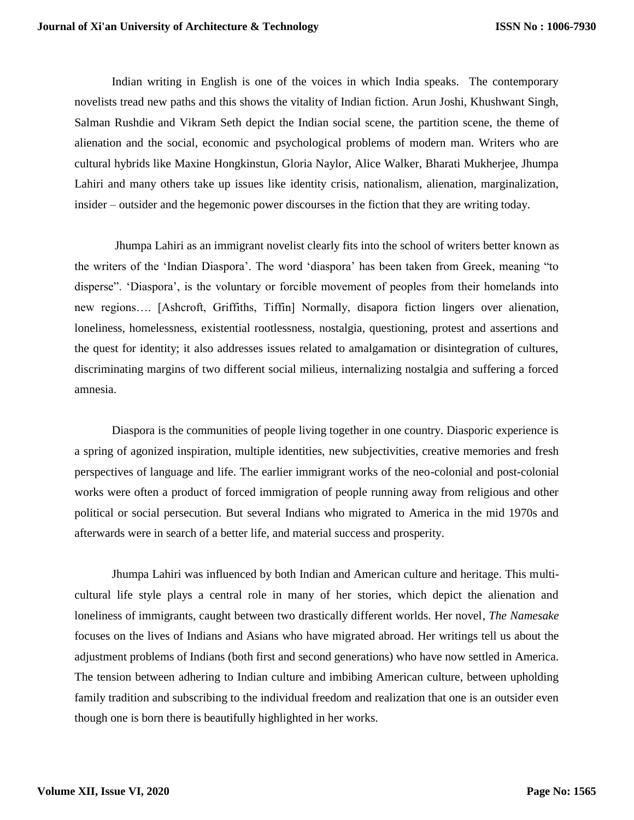Indian writing in English is one of the voices in which India speaks. The contemporary novelists tread new paths and this shows the vitality of Indian fiction. Arun Joshi, Khushwant Singh, Salman Rushdie and Vikram Seth depict the Indian social scene, the partition scene, the theme of alienation and the social, economic and psychological problems of modern man. Writers who are cultural hybrids like Maxine Hongkinstun, Gloria Naylor, Alice Walker, Bharati Mukherjee, Jhumpa Lahiri and many others take up issues like identity crisis, nationalism, alienation, marginalization, insider – outsider and the hegemonic power discourses in the fiction that they are writing today.

Jhumpa Lahiri as an immigrant novelist clearly fits into the school of writers better known as the writers of the 'Indian Diaspora'. The word 'diaspora' has been taken from Greek, meaning "to disperse". 'Diaspora', is the voluntary or forcible movement of peoples from their homelands into new regions…. [Ashcroft, Griffiths, Tiffin] Normally, disapora fiction lingers over alienation, loneliness, homelessness, existential rootlessness, nostalgia, questioning, protest and assertions and the quest for identity; it also addresses issues related to amalgamation or disintegration of cultures, discriminating margins of two different social milieus, internalizing nostalgia and suffering a forced amnesia.

Diaspora is the communities of people living together in one country. Diasporic experience is a spring of agonized inspiration, multiple identities, new subjectivities, creative memories and fresh perspectives of language and life. The earlier immigrant works of the neo-colonial and post-colonial works were often a product of forced immigration of people running away from religious and other political or social persecution. But several Indians who migrated to America in the mid 1970s and afterwards were in search of a better life, and material success and prosperity.

Jhumpa Lahiri was influenced by both Indian and American culture and heritage. This multicultural life style plays a central role in many of her stories, which depict the alienation and loneliness of immigrants, caught between two drastically different worlds. Her novel*, The Namesake*  focuses on the lives of Indians and Asians who have migrated abroad. Her writings tell us about the adjustment problems of Indians (both first and second generations) who have now settled in America. The tension between adhering to Indian culture and imbibing American culture, between upholding family tradition and subscribing to the individual freedom and realization that one is an outsider even though one is born there is beautifully highlighted in her works.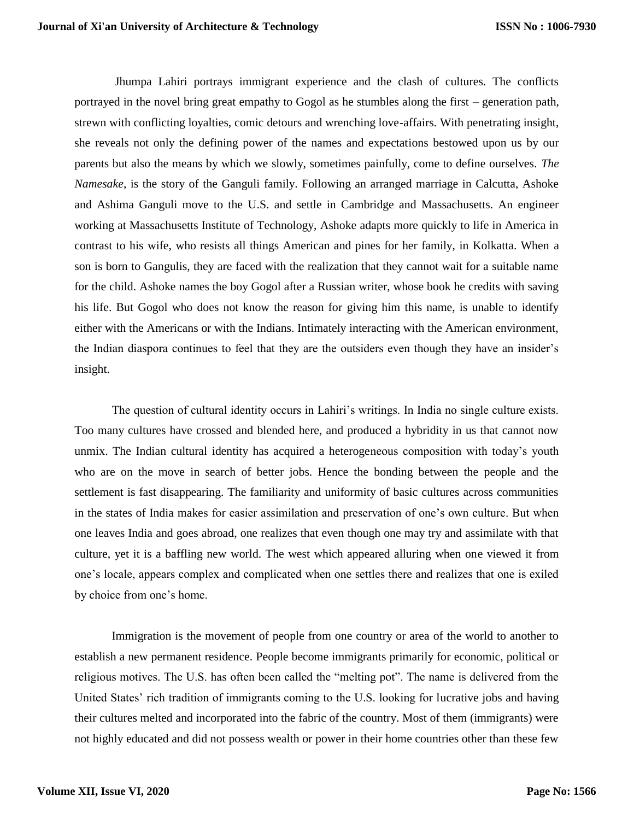Jhumpa Lahiri portrays immigrant experience and the clash of cultures. The conflicts portrayed in the novel bring great empathy to Gogol as he stumbles along the first – generation path, strewn with conflicting loyalties, comic detours and wrenching love-affairs. With penetrating insight, she reveals not only the defining power of the names and expectations bestowed upon us by our parents but also the means by which we slowly, sometimes painfully, come to define ourselves. *The Namesake*, is the story of the Ganguli family. Following an arranged marriage in Calcutta, Ashoke and Ashima Ganguli move to the U.S. and settle in Cambridge and Massachusetts. An engineer working at Massachusetts Institute of Technology, Ashoke adapts more quickly to life in America in contrast to his wife, who resists all things American and pines for her family, in Kolkatta. When a son is born to Gangulis, they are faced with the realization that they cannot wait for a suitable name for the child. Ashoke names the boy Gogol after a Russian writer, whose book he credits with saving his life. But Gogol who does not know the reason for giving him this name, is unable to identify either with the Americans or with the Indians. Intimately interacting with the American environment, the Indian diaspora continues to feel that they are the outsiders even though they have an insider's insight.

The question of cultural identity occurs in Lahiri's writings. In India no single culture exists. Too many cultures have crossed and blended here, and produced a hybridity in us that cannot now unmix. The Indian cultural identity has acquired a heterogeneous composition with today's youth who are on the move in search of better jobs. Hence the bonding between the people and the settlement is fast disappearing. The familiarity and uniformity of basic cultures across communities in the states of India makes for easier assimilation and preservation of one's own culture. But when one leaves India and goes abroad, one realizes that even though one may try and assimilate with that culture, yet it is a baffling new world. The west which appeared alluring when one viewed it from one's locale, appears complex and complicated when one settles there and realizes that one is exiled by choice from one's home.

Immigration is the movement of people from one country or area of the world to another to establish a new permanent residence. People become immigrants primarily for economic, political or religious motives. The U.S. has often been called the "melting pot". The name is delivered from the United States' rich tradition of immigrants coming to the U.S. looking for lucrative jobs and having their cultures melted and incorporated into the fabric of the country. Most of them (immigrants) were not highly educated and did not possess wealth or power in their home countries other than these few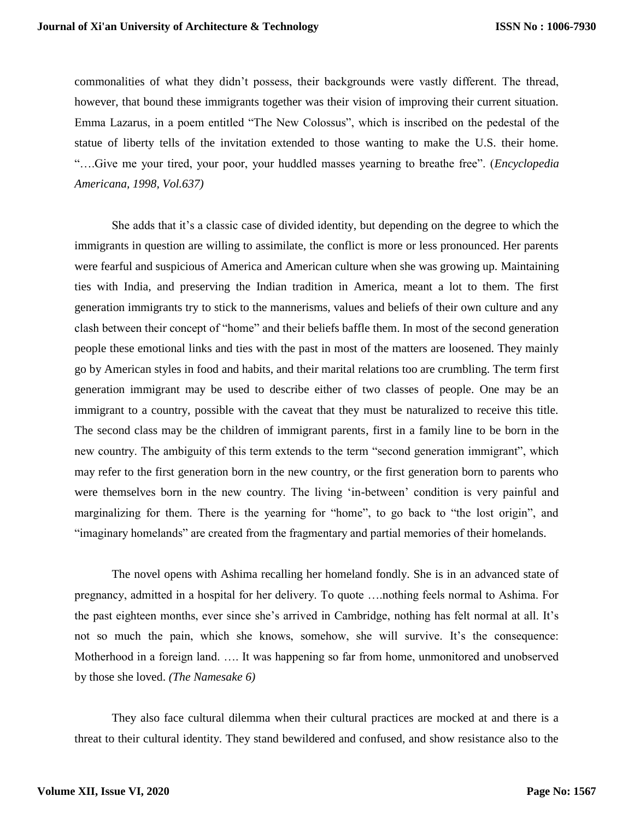commonalities of what they didn't possess, their backgrounds were vastly different. The thread, however, that bound these immigrants together was their vision of improving their current situation. Emma Lazarus, in a poem entitled "The New Colossus", which is inscribed on the pedestal of the statue of liberty tells of the invitation extended to those wanting to make the U.S. their home. "….Give me your tired, your poor, your huddled masses yearning to breathe free". (*Encyclopedia Americana, 1998, Vol.637)*

She adds that it's a classic case of divided identity, but depending on the degree to which the immigrants in question are willing to assimilate, the conflict is more or less pronounced. Her parents were fearful and suspicious of America and American culture when she was growing up. Maintaining ties with India, and preserving the Indian tradition in America, meant a lot to them. The first generation immigrants try to stick to the mannerisms, values and beliefs of their own culture and any clash between their concept of "home" and their beliefs baffle them. In most of the second generation people these emotional links and ties with the past in most of the matters are loosened. They mainly go by American styles in food and habits, and their marital relations too are crumbling. The term first generation immigrant may be used to describe either of two classes of people. One may be an immigrant to a country, possible with the caveat that they must be naturalized to receive this title. The second class may be the children of immigrant parents, first in a family line to be born in the new country. The ambiguity of this term extends to the term "second generation immigrant", which may refer to the first generation born in the new country, or the first generation born to parents who were themselves born in the new country. The living 'in-between' condition is very painful and marginalizing for them. There is the yearning for "home", to go back to "the lost origin", and "imaginary homelands" are created from the fragmentary and partial memories of their homelands.

The novel opens with Ashima recalling her homeland fondly. She is in an advanced state of pregnancy, admitted in a hospital for her delivery. To quote ….nothing feels normal to Ashima. For the past eighteen months, ever since she's arrived in Cambridge, nothing has felt normal at all. It's not so much the pain, which she knows, somehow, she will survive. It's the consequence: Motherhood in a foreign land. …. It was happening so far from home, unmonitored and unobserved by those she loved. *(The Namesake 6)* 

They also face cultural dilemma when their cultural practices are mocked at and there is a threat to their cultural identity. They stand bewildered and confused, and show resistance also to the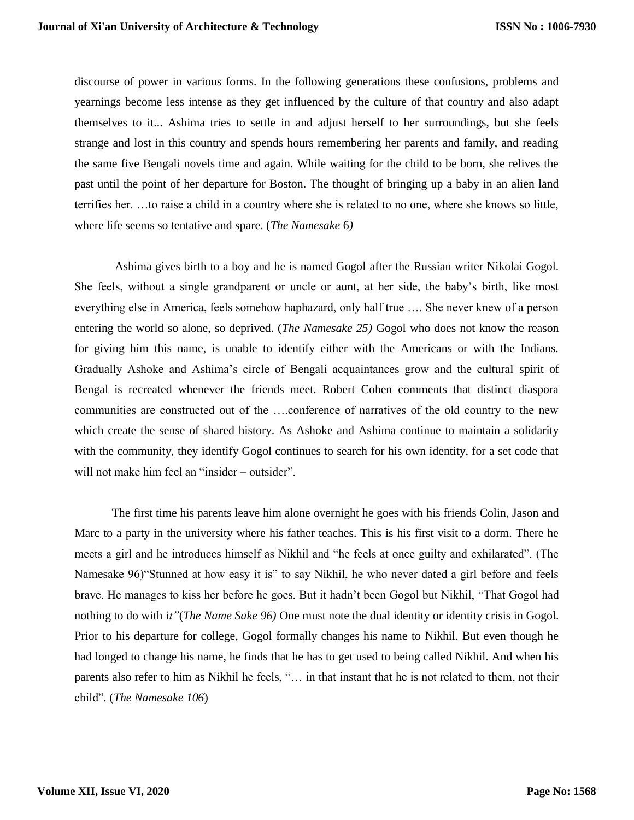discourse of power in various forms. In the following generations these confusions, problems and yearnings become less intense as they get influenced by the culture of that country and also adapt themselves to it... Ashima tries to settle in and adjust herself to her surroundings, but she feels strange and lost in this country and spends hours remembering her parents and family, and reading the same five Bengali novels time and again. While waiting for the child to be born, she relives the past until the point of her departure for Boston. The thought of bringing up a baby in an alien land terrifies her. …to raise a child in a country where she is related to no one, where she knows so little, where life seems so tentative and spare. (*The Namesake* 6*)*

Ashima gives birth to a boy and he is named Gogol after the Russian writer Nikolai Gogol. She feels, without a single grandparent or uncle or aunt, at her side, the baby's birth, like most everything else in America, feels somehow haphazard, only half true …. She never knew of a person entering the world so alone, so deprived. (*The Namesake 25)* Gogol who does not know the reason for giving him this name, is unable to identify either with the Americans or with the Indians. Gradually Ashoke and Ashima's circle of Bengali acquaintances grow and the cultural spirit of Bengal is recreated whenever the friends meet. Robert Cohen comments that distinct diaspora communities are constructed out of the ….conference of narratives of the old country to the new which create the sense of shared history. As Ashoke and Ashima continue to maintain a solidarity with the community, they identify Gogol continues to search for his own identity, for a set code that will not make him feel an "insider – outsider".

The first time his parents leave him alone overnight he goes with his friends Colin, Jason and Marc to a party in the university where his father teaches. This is his first visit to a dorm. There he meets a girl and he introduces himself as Nikhil and "he feels at once guilty and exhilarated". (The Namesake 96)"Stunned at how easy it is" to say Nikhil, he who never dated a girl before and feels brave. He manages to kiss her before he goes. But it hadn't been Gogol but Nikhil, "That Gogol had nothing to do with i*t"*(*The Name Sake 96)* One must note the dual identity or identity crisis in Gogol. Prior to his departure for college, Gogol formally changes his name to Nikhil. But even though he had longed to change his name, he finds that he has to get used to being called Nikhil. And when his parents also refer to him as Nikhil he feels, "… in that instant that he is not related to them, not their child"*.* (*The Namesake 106*)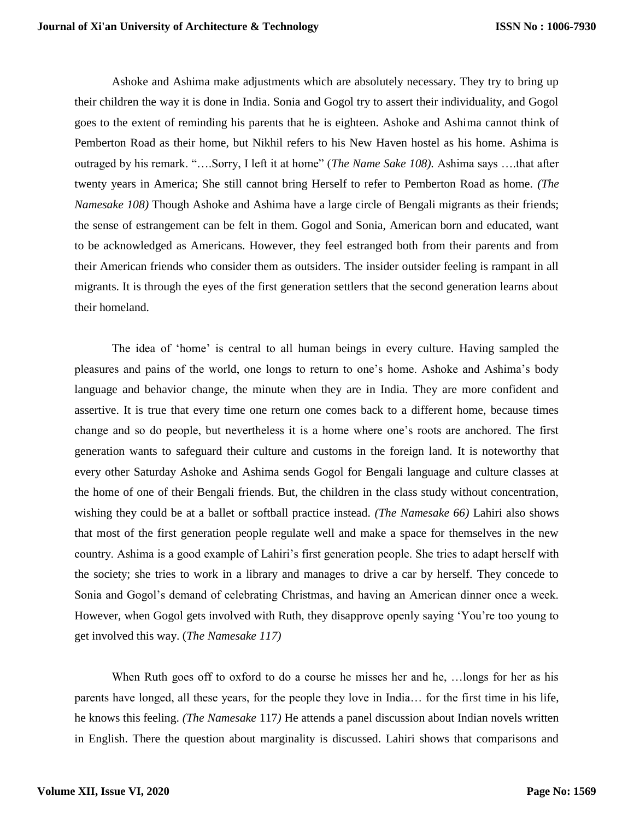Ashoke and Ashima make adjustments which are absolutely necessary. They try to bring up their children the way it is done in India. Sonia and Gogol try to assert their individuality, and Gogol goes to the extent of reminding his parents that he is eighteen. Ashoke and Ashima cannot think of Pemberton Road as their home, but Nikhil refers to his New Haven hostel as his home. Ashima is outraged by his remark. "….Sorry, I left it at home" (*The Name Sake 108).* Ashima says ….that after twenty years in America; She still cannot bring Herself to refer to Pemberton Road as home. *(The Namesake 108)* Though Ashoke and Ashima have a large circle of Bengali migrants as their friends; the sense of estrangement can be felt in them. Gogol and Sonia, American born and educated, want to be acknowledged as Americans. However, they feel estranged both from their parents and from their American friends who consider them as outsiders. The insider outsider feeling is rampant in all migrants. It is through the eyes of the first generation settlers that the second generation learns about their homeland.

The idea of 'home' is central to all human beings in every culture. Having sampled the pleasures and pains of the world, one longs to return to one's home. Ashoke and Ashima's body language and behavior change, the minute when they are in India. They are more confident and assertive. It is true that every time one return one comes back to a different home, because times change and so do people, but nevertheless it is a home where one's roots are anchored. The first generation wants to safeguard their culture and customs in the foreign land. It is noteworthy that every other Saturday Ashoke and Ashima sends Gogol for Bengali language and culture classes at the home of one of their Bengali friends. But, the children in the class study without concentration, wishing they could be at a ballet or softball practice instead. *(The Namesake 66)* Lahiri also shows that most of the first generation people regulate well and make a space for themselves in the new country. Ashima is a good example of Lahiri's first generation people. She tries to adapt herself with the society; she tries to work in a library and manages to drive a car by herself. They concede to Sonia and Gogol's demand of celebrating Christmas, and having an American dinner once a week. However, when Gogol gets involved with Ruth, they disapprove openly saying 'You're too young to get involved this way. (*The Namesake 117)*

When Ruth goes off to oxford to do a course he misses her and he, ...longs for her as his parents have longed, all these years, for the people they love in India… for the first time in his life, he knows this feeling. *(The Namesake* 117*)* He attends a panel discussion about Indian novels written in English. There the question about marginality is discussed. Lahiri shows that comparisons and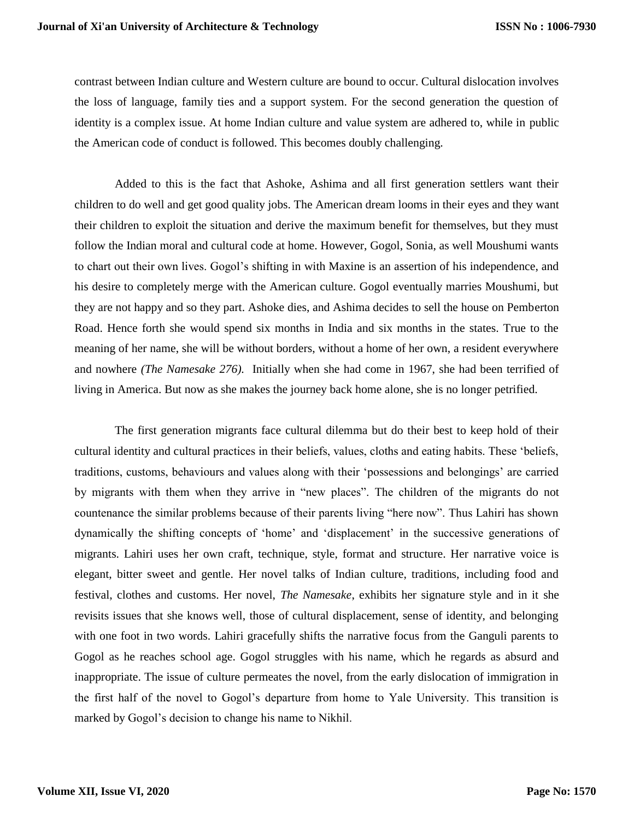contrast between Indian culture and Western culture are bound to occur. Cultural dislocation involves the loss of language, family ties and a support system. For the second generation the question of identity is a complex issue. At home Indian culture and value system are adhered to, while in public the American code of conduct is followed. This becomes doubly challenging.

Added to this is the fact that Ashoke, Ashima and all first generation settlers want their children to do well and get good quality jobs. The American dream looms in their eyes and they want their children to exploit the situation and derive the maximum benefit for themselves, but they must follow the Indian moral and cultural code at home. However, Gogol, Sonia, as well Moushumi wants to chart out their own lives. Gogol's shifting in with Maxine is an assertion of his independence, and his desire to completely merge with the American culture. Gogol eventually marries Moushumi, but they are not happy and so they part. Ashoke dies, and Ashima decides to sell the house on Pemberton Road. Hence forth she would spend six months in India and six months in the states. True to the meaning of her name, she will be without borders, without a home of her own, a resident everywhere and nowhere *(The Namesake 276).* Initially when she had come in 1967, she had been terrified of living in America. But now as she makes the journey back home alone, she is no longer petrified.

The first generation migrants face cultural dilemma but do their best to keep hold of their cultural identity and cultural practices in their beliefs, values, cloths and eating habits. These 'beliefs, traditions, customs, behaviours and values along with their 'possessions and belongings' are carried by migrants with them when they arrive in "new places". The children of the migrants do not countenance the similar problems because of their parents living "here now". Thus Lahiri has shown dynamically the shifting concepts of 'home' and 'displacement' in the successive generations of migrants. Lahiri uses her own craft, technique, style, format and structure. Her narrative voice is elegant, bitter sweet and gentle. Her novel talks of Indian culture, traditions, including food and festival, clothes and customs. Her novel, *The Namesake*, exhibits her signature style and in it she revisits issues that she knows well, those of cultural displacement, sense of identity, and belonging with one foot in two words. Lahiri gracefully shifts the narrative focus from the Ganguli parents to Gogol as he reaches school age. Gogol struggles with his name, which he regards as absurd and inappropriate. The issue of culture permeates the novel, from the early dislocation of immigration in the first half of the novel to Gogol's departure from home to Yale University. This transition is marked by Gogol's decision to change his name to Nikhil.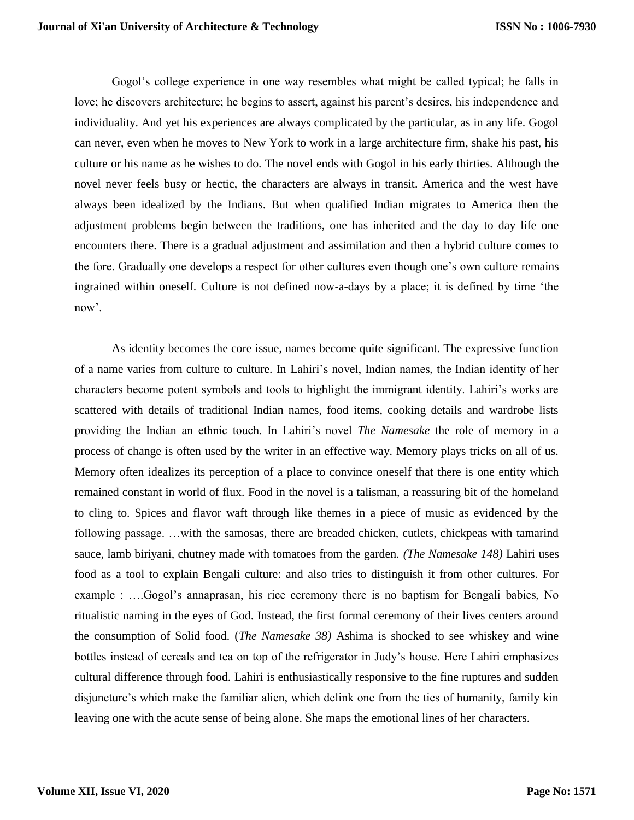Gogol's college experience in one way resembles what might be called typical; he falls in love; he discovers architecture; he begins to assert, against his parent's desires, his independence and individuality. And yet his experiences are always complicated by the particular, as in any life. Gogol can never, even when he moves to New York to work in a large architecture firm, shake his past, his culture or his name as he wishes to do. The novel ends with Gogol in his early thirties. Although the novel never feels busy or hectic, the characters are always in transit. America and the west have always been idealized by the Indians. But when qualified Indian migrates to America then the adjustment problems begin between the traditions, one has inherited and the day to day life one encounters there. There is a gradual adjustment and assimilation and then a hybrid culture comes to the fore. Gradually one develops a respect for other cultures even though one's own culture remains ingrained within oneself. Culture is not defined now-a-days by a place; it is defined by time 'the now'.

As identity becomes the core issue, names become quite significant. The expressive function of a name varies from culture to culture. In Lahiri's novel, Indian names, the Indian identity of her characters become potent symbols and tools to highlight the immigrant identity. Lahiri's works are scattered with details of traditional Indian names, food items, cooking details and wardrobe lists providing the Indian an ethnic touch. In Lahiri's novel *The Namesake* the role of memory in a process of change is often used by the writer in an effective way. Memory plays tricks on all of us. Memory often idealizes its perception of a place to convince oneself that there is one entity which remained constant in world of flux. Food in the novel is a talisman, a reassuring bit of the homeland to cling to. Spices and flavor waft through like themes in a piece of music as evidenced by the following passage. …with the samosas, there are breaded chicken, cutlets, chickpeas with tamarind sauce, lamb biriyani, chutney made with tomatoes from the garden. *(The Namesake 148)* Lahiri uses food as a tool to explain Bengali culture: and also tries to distinguish it from other cultures. For example : ….Gogol's annaprasan, his rice ceremony there is no baptism for Bengali babies, No ritualistic naming in the eyes of God. Instead, the first formal ceremony of their lives centers around the consumption of Solid food. (*The Namesake 38)* Ashima is shocked to see whiskey and wine bottles instead of cereals and tea on top of the refrigerator in Judy's house. Here Lahiri emphasizes cultural difference through food. Lahiri is enthusiastically responsive to the fine ruptures and sudden disjuncture's which make the familiar alien, which delink one from the ties of humanity, family kin leaving one with the acute sense of being alone. She maps the emotional lines of her characters.